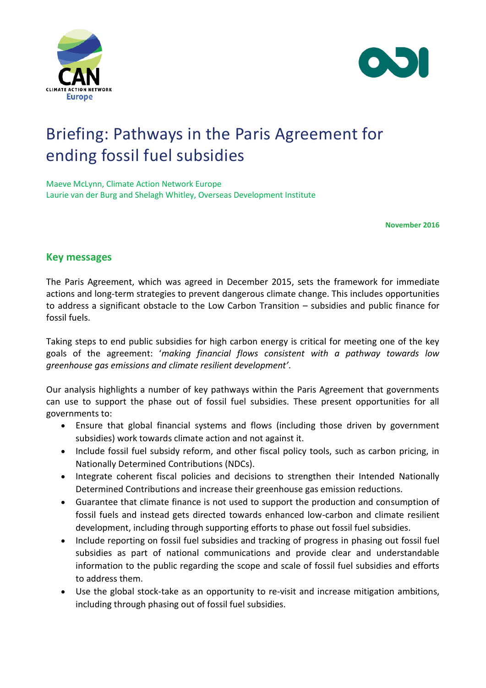



# Briefing: Pathways in the Paris Agreement for ending fossil fuel subsidies

Maeve McLynn, Climate Action Network Europe Laurie van der Burg and Shelagh Whitley, Overseas Development Institute

**November 2016**

## **Key messages**

The Paris Agreement, which was agreed in December 2015, sets the framework for immediate actions and long-term strategies to prevent dangerous climate change. This includes opportunities to address a significant obstacle to the Low Carbon Transition – subsidies and public finance for fossil fuels.

Taking steps to end public subsidies for high carbon energy is critical for meeting one of the key goals of the agreement: '*making financial flows consistent with a pathway towards low greenhouse gas emissions and climate resilient development'*.

Our analysis highlights a number of key pathways within the Paris Agreement that governments can use to support the phase out of fossil fuel subsidies. These present opportunities for all governments to:

- Ensure that global financial systems and flows (including those driven by government subsidies) work towards climate action and not against it.
- Include fossil fuel subsidy reform, and other fiscal policy tools, such as carbon pricing, in Nationally Determined Contributions (NDCs).
- Integrate coherent fiscal policies and decisions to strengthen their Intended Nationally Determined Contributions and increase their greenhouse gas emission reductions.
- Guarantee that climate finance is not used to support the production and consumption of fossil fuels and instead gets directed towards enhanced low-carbon and climate resilient development, including through supporting efforts to phase out fossil fuel subsidies.
- Include reporting on fossil fuel subsidies and tracking of progress in phasing out fossil fuel subsidies as part of national communications and provide clear and understandable information to the public regarding the scope and scale of fossil fuel subsidies and efforts to address them.
- Use the global stock-take as an opportunity to re-visit and increase mitigation ambitions, including through phasing out of fossil fuel subsidies.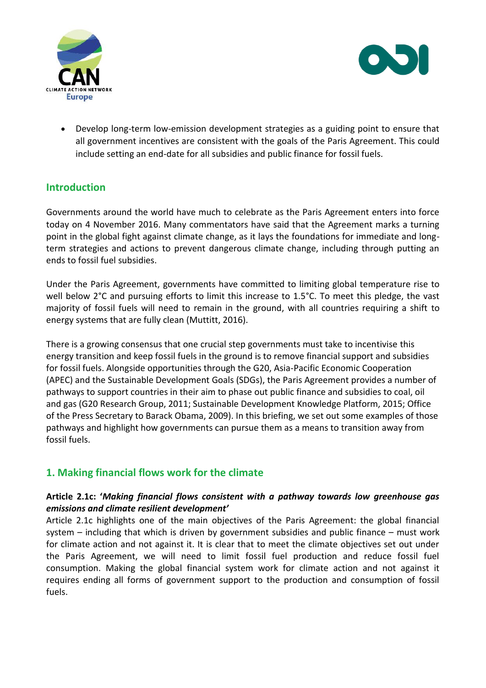



 Develop long-term low-emission development strategies as a guiding point to ensure that all government incentives are consistent with the goals of the Paris Agreement. This could include setting an end-date for all subsidies and public finance for fossil fuels.

# **Introduction**

Governments around the world have much to celebrate as the Paris Agreement enters into force today on 4 November 2016. Many commentators have said that the Agreement marks a turning point in the global fight against climate change, as it lays the foundations for immediate and longterm strategies and actions to prevent dangerous climate change, including through putting an ends to fossil fuel subsidies.

Under the Paris Agreement, governments have committed to limiting global temperature rise to well below 2°C and pursuing efforts to limit this increase to 1.5°C. To meet this pledge, the vast majority of fossil fuels will need to remain in the ground, with all countries requiring a shift to energy systems that are fully clean (Muttitt, 2016).

There is a growing consensus that one crucial step governments must take to incentivise this energy transition and keep fossil fuels in the ground is to remove financial support and subsidies for fossil fuels. Alongside opportunities through the G20, Asia-Pacific Economic Cooperation (APEC) and the Sustainable Development Goals (SDGs), the Paris Agreement provides a number of pathways to support countries in their aim to phase out public finance and subsidies to coal, oil and gas (G20 Research Group, 2011; Sustainable Development Knowledge Platform, 2015; Office of the Press Secretary to Barack Obama, 2009). In this briefing, we set out some examples of those pathways and highlight how governments can pursue them as a means to transition away from fossil fuels.

# **1. Making financial flows work for the climate**

## **Article 2.1c: '***Making financial flows consistent with a pathway towards low greenhouse gas emissions and climate resilient development'*

Article 2.1c highlights one of the main objectives of the Paris Agreement: the global financial system – including that which is driven by government subsidies and public finance – must work for climate action and not against it. It is clear that to meet the climate objectives set out under the Paris Agreement, we will need to limit fossil fuel production and reduce fossil fuel consumption. Making the global financial system work for climate action and not against it requires ending all forms of government support to the production and consumption of fossil fuels.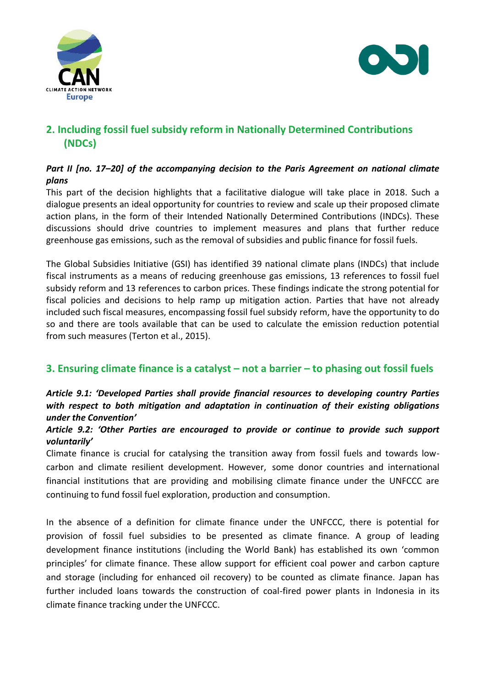



# **2. Including fossil fuel subsidy reform in Nationally Determined Contributions (NDCs)**

## *Part II [no. 17–20] of the accompanying decision to the Paris Agreement on national climate plans*

This part of the decision highlights that a facilitative dialogue will take place in 2018. Such a dialogue presents an ideal opportunity for countries to review and scale up their proposed climate action plans, in the form of their Intended Nationally Determined Contributions (INDCs). These discussions should drive countries to implement measures and plans that further reduce greenhouse gas emissions, such as the removal of subsidies and public finance for fossil fuels.

The Global Subsidies Initiative (GSI) has identified 39 national climate plans (INDCs) that include fiscal instruments as a means of reducing greenhouse gas emissions, 13 references to fossil fuel subsidy reform and 13 references to carbon prices. These findings indicate the strong potential for fiscal policies and decisions to help ramp up mitigation action. Parties that have not already included such fiscal measures, encompassing fossil fuel subsidy reform, have the opportunity to do so and there are tools available that can be used to calculate the emission reduction potential from such measures (Terton et al., 2015).

## **3. Ensuring climate finance is a catalyst – not a barrier – to phasing out fossil fuels**

## *Article 9.1: 'Developed Parties shall provide financial resources to developing country Parties with respect to both mitigation and adaptation in continuation of their existing obligations under the Convention'*

## *Article 9.2: 'Other Parties are encouraged to provide or continue to provide such support voluntarily'*

Climate finance is crucial for catalysing the transition away from fossil fuels and towards lowcarbon and climate resilient development. However, some donor countries and international financial institutions that are providing and mobilising climate finance under the UNFCCC are continuing to fund fossil fuel exploration, production and consumption.

In the absence of a definition for climate finance under the UNFCCC, there is potential for provision of fossil fuel subsidies to be presented as climate finance. A group of leading development finance institutions (including the World Bank) has established its own 'common principles' for climate finance. These allow support for efficient coal power and carbon capture and storage (including for enhanced oil recovery) to be counted as climate finance. Japan has further included loans towards the construction of coal-fired power plants in Indonesia in its climate finance tracking under the UNFCCC.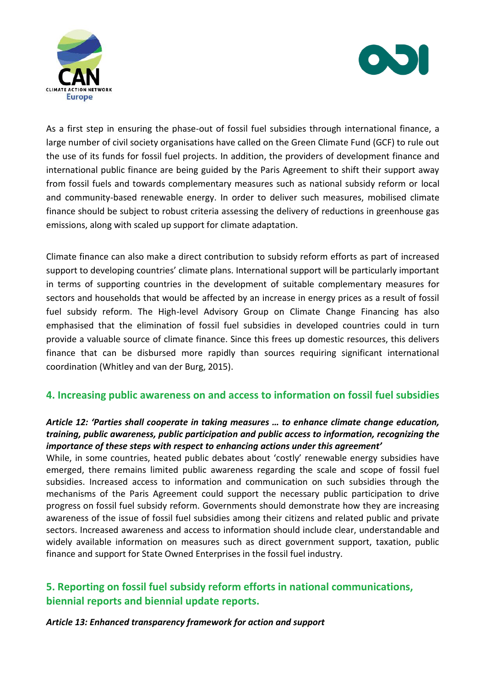



As a first step in ensuring the phase-out of fossil fuel subsidies through international finance, a large number of civil society organisations have called on the Green Climate Fund (GCF) to rule out the use of its funds for fossil fuel projects. In addition, the providers of development finance and international public finance are being guided by the Paris Agreement to shift their support away from fossil fuels and towards complementary measures such as national subsidy reform or local and community-based renewable energy. In order to deliver such measures, mobilised climate finance should be subject to robust criteria assessing the delivery of reductions in greenhouse gas emissions, along with scaled up support for climate adaptation.

Climate finance can also make a direct contribution to subsidy reform efforts as part of increased support to developing countries' climate plans. International support will be particularly important in terms of supporting countries in the development of suitable complementary measures for sectors and households that would be affected by an increase in energy prices as a result of fossil fuel subsidy reform. The High-level Advisory Group on Climate Change Financing has also emphasised that the elimination of fossil fuel subsidies in developed countries could in turn provide a valuable source of climate finance. Since this frees up domestic resources, this delivers finance that can be disbursed more rapidly than sources requiring significant international coordination (Whitley and van der Burg, 2015).

## **4. Increasing public awareness on and access to information on fossil fuel subsidies**

## *Article 12: 'Parties shall cooperate in taking measures … to enhance climate change education, training, public awareness, public participation and public access to information, recognizing the importance of these steps with respect to enhancing actions under this agreement'*

While, in some countries, heated public debates about 'costly' renewable energy subsidies have emerged, there remains limited public awareness regarding the scale and scope of fossil fuel subsidies. Increased access to information and communication on such subsidies through the mechanisms of the Paris Agreement could support the necessary public participation to drive progress on fossil fuel subsidy reform. Governments should demonstrate how they are increasing awareness of the issue of fossil fuel subsidies among their citizens and related public and private sectors. Increased awareness and access to information should include clear, understandable and widely available information on measures such as direct government support, taxation, public finance and support for State Owned Enterprises in the fossil fuel industry.

# **5. Reporting on fossil fuel subsidy reform efforts in national communications, biennial reports and biennial update reports.**

## *Article 13: Enhanced transparency framework for action and support*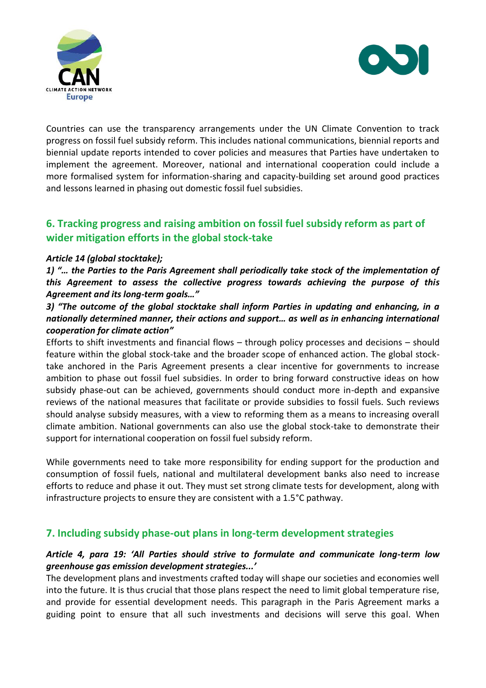



Countries can use the transparency arrangements under the UN Climate Convention to track progress on fossil fuel subsidy reform. This includes national communications, biennial reports and biennial update reports intended to cover policies and measures that Parties have undertaken to implement the agreement. Moreover, national and international cooperation could include a more formalised system for information-sharing and capacity-building set around good practices and lessons learned in phasing out domestic fossil fuel subsidies.

# **6. Tracking progress and raising ambition on fossil fuel subsidy reform as part of wider mitigation efforts in the global stock-take**

## *Article 14 (global stocktake);*

*1) "… the Parties to the Paris Agreement shall periodically take stock of the implementation of this Agreement to assess the collective progress towards achieving the purpose of this Agreement and its long-term goals…"*

## *3) "The outcome of the global stocktake shall inform Parties in updating and enhancing, in a nationally determined manner, their actions and support… as well as in enhancing international cooperation for climate action"*

Efforts to shift investments and financial flows – through policy processes and decisions – should feature within the global stock-take and the broader scope of enhanced action. The global stocktake anchored in the Paris Agreement presents a clear incentive for governments to increase ambition to phase out fossil fuel subsidies. In order to bring forward constructive ideas on how subsidy phase-out can be achieved, governments should conduct more in-depth and expansive reviews of the national measures that facilitate or provide subsidies to fossil fuels. Such reviews should analyse subsidy measures, with a view to reforming them as a means to increasing overall climate ambition. National governments can also use the global stock-take to demonstrate their support for international cooperation on fossil fuel subsidy reform.

While governments need to take more responsibility for ending support for the production and consumption of fossil fuels, national and multilateral development banks also need to increase efforts to reduce and phase it out. They must set strong climate tests for development, along with infrastructure projects to ensure they are consistent with a 1.5°C pathway.

## **7. Including subsidy phase-out plans in long-term development strategies**

#### *Article 4, para 19: 'All Parties should strive to formulate and communicate long-term low greenhouse gas emission development strategies...'*

The development plans and investments crafted today will shape our societies and economies well into the future. It is thus crucial that those plans respect the need to limit global temperature rise, and provide for essential development needs. This paragraph in the Paris Agreement marks a guiding point to ensure that all such investments and decisions will serve this goal. When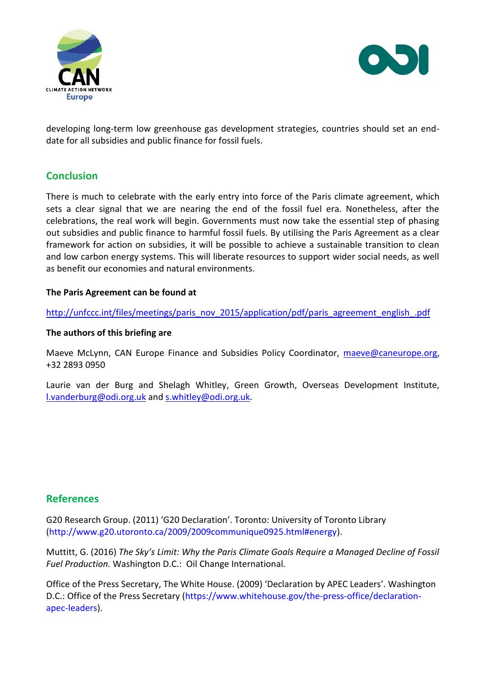



developing long-term low greenhouse gas development strategies, countries should set an enddate for all subsidies and public finance for fossil fuels.

## **Conclusion**

There is much to celebrate with the early entry into force of the Paris climate agreement, which sets a clear signal that we are nearing the end of the fossil fuel era. Nonetheless, after the celebrations, the real work will begin. Governments must now take the essential step of phasing out subsidies and public finance to harmful fossil fuels. By utilising the Paris Agreement as a clear framework for action on subsidies, it will be possible to achieve a sustainable transition to clean and low carbon energy systems. This will liberate resources to support wider social needs, as well as benefit our economies and natural environments.

## **The Paris Agreement can be found at**

[http://unfccc.int/files/meetings/paris\\_nov\\_2015/application/pdf/paris\\_agreement\\_english\\_.pdf](http://unfccc.int/files/meetings/paris_nov_2015/application/pdf/paris_agreement_english_.pdf)

#### **The authors of this briefing are**

Maeve McLynn, CAN Europe Finance and Subsidies Policy Coordinator, [maeve@caneurope.org,](mailto:maeve@caneurope.org) +32 2893 0950

Laurie van der Burg and Shelagh Whitley, Green Growth, Overseas Development Institute, l.vanderburg@odi.org.uk an[d s.whitley@odi.org.uk.](mailto:s.whitley@odi.org.uk)

## **References**

G20 Research Group. (2011) 'G20 Declaration'. Toronto: University of Toronto Library [\(http://www.g20.utoronto.ca/2009/2009communique0925.html#energy\)](http://www.g20.utoronto.ca/2009/2009communique0925.html#energy).

Muttitt, G. (2016) *The Sky's Limit: Why the Paris Climate Goals Require a Managed Decline of Fossil Fuel Production.* Washington D.C.: Oil Change International.

Office of the Press Secretary, The White House. (2009) 'Declaration by APEC Leaders'. Washington D.C.: Office of the Press Secretary [\(https://www.whitehouse.gov/the-press-office/declaration](https://www.whitehouse.gov/the-press-office/declaration-apec-leaders)[apec-leaders\)](https://www.whitehouse.gov/the-press-office/declaration-apec-leaders).